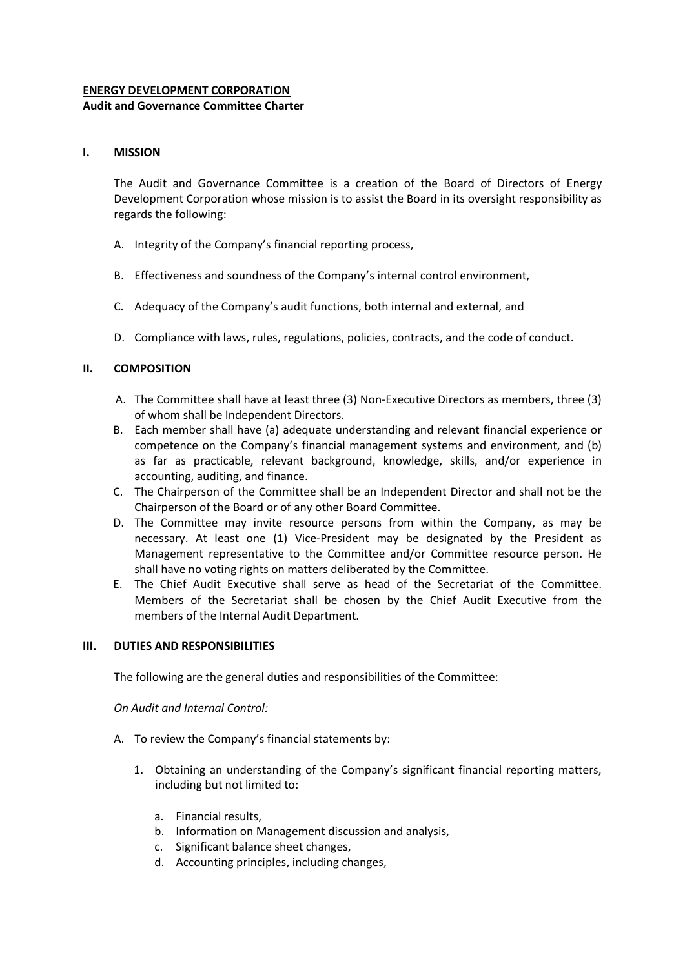## **ENERGY DEVELOPMENT CORPORATION**

## **Audit and Governance Committee Charter**

## **I. MISSION**

The Audit and Governance Committee is a creation of the Board of Directors of Energy Development Corporation whose mission is to assist the Board in its oversight responsibility as regards the following:

- A. Integrity of the Company's financial reporting process,
- B. Effectiveness and soundness of the Company's internal control environment,
- C. Adequacy of the Company's audit functions, both internal and external, and
- D. Compliance with laws, rules, regulations, policies, contracts, and the code of conduct.

# **II. COMPOSITION**

- A. The Committee shall have at least three (3) Non-Executive Directors as members, three (3) of whom shall be Independent Directors.
- B. Each member shall have (a) adequate understanding and relevant financial experience or competence on the Company's financial management systems and environment, and (b) as far as practicable, relevant background, knowledge, skills, and/or experience in accounting, auditing, and finance.
- C. The Chairperson of the Committee shall be an Independent Director and shall not be the Chairperson of the Board or of any other Board Committee.
- D. The Committee may invite resource persons from within the Company, as may be necessary. At least one (1) Vice-President may be designated by the President as Management representative to the Committee and/or Committee resource person. He shall have no voting rights on matters deliberated by the Committee.
- E. The Chief Audit Executive shall serve as head of the Secretariat of the Committee. Members of the Secretariat shall be chosen by the Chief Audit Executive from the members of the Internal Audit Department.

## **III. DUTIES AND RESPONSIBILITIES**

The following are the general duties and responsibilities of the Committee:

*On Audit and Internal Control:* 

- A. To review the Company's financial statements by:
	- 1. Obtaining an understanding of the Company's significant financial reporting matters, including but not limited to:
		- a. Financial results,
		- b. Information on Management discussion and analysis,
		- c. Significant balance sheet changes,
		- d. Accounting principles, including changes,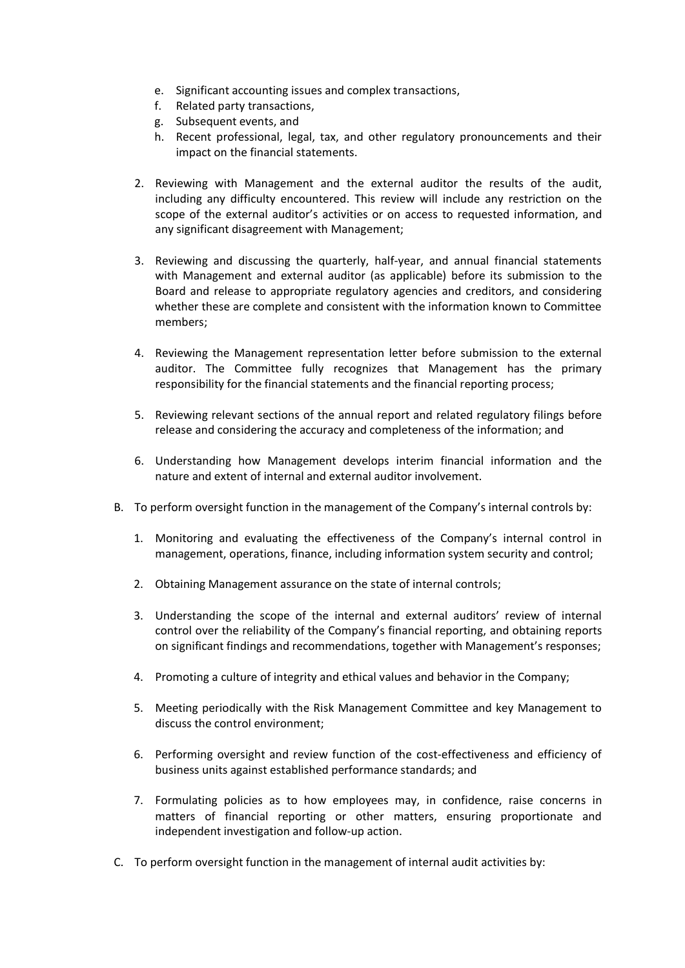- e. Significant accounting issues and complex transactions,
- f. Related party transactions,
- g. Subsequent events, and
- h. Recent professional, legal, tax, and other regulatory pronouncements and their impact on the financial statements.
- 2. Reviewing with Management and the external auditor the results of the audit, including any difficulty encountered. This review will include any restriction on the scope of the external auditor's activities or on access to requested information, and any significant disagreement with Management;
- 3. Reviewing and discussing the quarterly, half-year, and annual financial statements with Management and external auditor (as applicable) before its submission to the Board and release to appropriate regulatory agencies and creditors, and considering whether these are complete and consistent with the information known to Committee members;
- 4. Reviewing the Management representation letter before submission to the external auditor. The Committee fully recognizes that Management has the primary responsibility for the financial statements and the financial reporting process;
- 5. Reviewing relevant sections of the annual report and related regulatory filings before release and considering the accuracy and completeness of the information; and
- 6. Understanding how Management develops interim financial information and the nature and extent of internal and external auditor involvement.
- B. To perform oversight function in the management of the Company's internal controls by:
	- 1. Monitoring and evaluating the effectiveness of the Company's internal control in management, operations, finance, including information system security and control;
	- 2. Obtaining Management assurance on the state of internal controls;
	- 3. Understanding the scope of the internal and external auditors' review of internal control over the reliability of the Company's financial reporting, and obtaining reports on significant findings and recommendations, together with Management's responses;
	- 4. Promoting a culture of integrity and ethical values and behavior in the Company;
	- 5. Meeting periodically with the Risk Management Committee and key Management to discuss the control environment;
	- 6. Performing oversight and review function of the cost-effectiveness and efficiency of business units against established performance standards; and
	- 7. Formulating policies as to how employees may, in confidence, raise concerns in matters of financial reporting or other matters, ensuring proportionate and independent investigation and follow-up action.
- C. To perform oversight function in the management of internal audit activities by: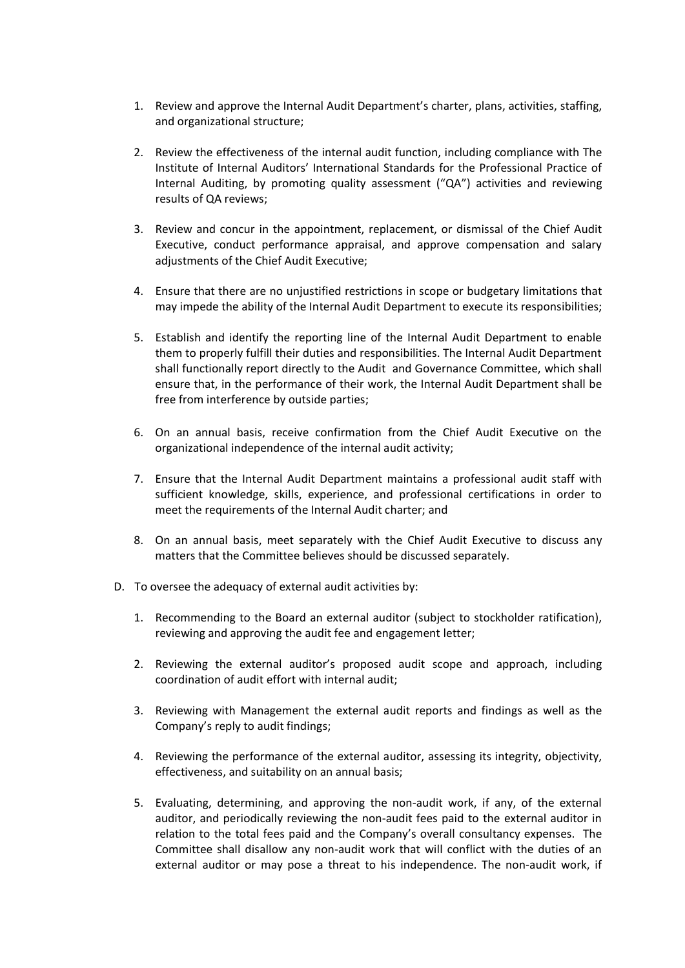- 1. Review and approve the Internal Audit Department's charter, plans, activities, staffing, and organizational structure;
- 2. Review the effectiveness of the internal audit function, including compliance with The Institute of Internal Auditors' International Standards for the Professional Practice of Internal Auditing, by promoting quality assessment ("QA") activities and reviewing results of QA reviews;
- 3. Review and concur in the appointment, replacement, or dismissal of the Chief Audit Executive, conduct performance appraisal, and approve compensation and salary adjustments of the Chief Audit Executive;
- 4. Ensure that there are no unjustified restrictions in scope or budgetary limitations that may impede the ability of the Internal Audit Department to execute its responsibilities;
- 5. Establish and identify the reporting line of the Internal Audit Department to enable them to properly fulfill their duties and responsibilities. The Internal Audit Department shall functionally report directly to the Audit and Governance Committee, which shall ensure that, in the performance of their work, the Internal Audit Department shall be free from interference by outside parties;
- 6. On an annual basis, receive confirmation from the Chief Audit Executive on the organizational independence of the internal audit activity;
- 7. Ensure that the Internal Audit Department maintains a professional audit staff with sufficient knowledge, skills, experience, and professional certifications in order to meet the requirements of the Internal Audit charter; and
- 8. On an annual basis, meet separately with the Chief Audit Executive to discuss any matters that the Committee believes should be discussed separately.
- D. To oversee the adequacy of external audit activities by:
	- 1. Recommending to the Board an external auditor (subject to stockholder ratification), reviewing and approving the audit fee and engagement letter;
	- 2. Reviewing the external auditor's proposed audit scope and approach, including coordination of audit effort with internal audit;
	- 3. Reviewing with Management the external audit reports and findings as well as the Company's reply to audit findings;
	- 4. Reviewing the performance of the external auditor, assessing its integrity, objectivity, effectiveness, and suitability on an annual basis;
	- 5. Evaluating, determining, and approving the non-audit work, if any, of the external auditor, and periodically reviewing the non-audit fees paid to the external auditor in relation to the total fees paid and the Company's overall consultancy expenses. The Committee shall disallow any non-audit work that will conflict with the duties of an external auditor or may pose a threat to his independence. The non-audit work, if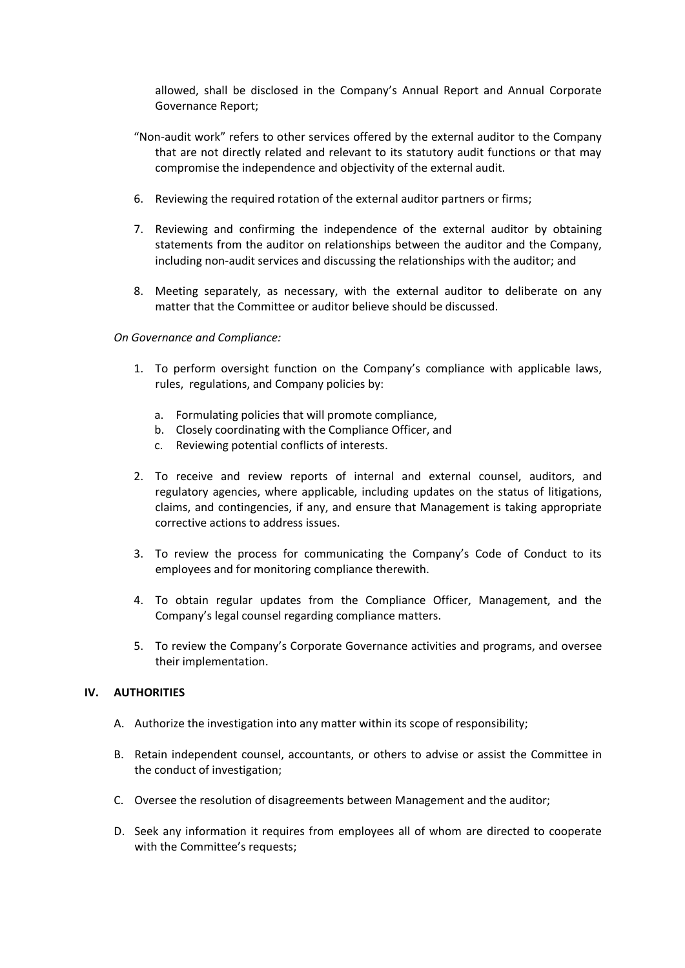allowed, shall be disclosed in the Company's Annual Report and Annual Corporate Governance Report;

- "Non-audit work" refers to other services offered by the external auditor to the Company that are not directly related and relevant to its statutory audit functions or that may compromise the independence and objectivity of the external audit.
- 6. Reviewing the required rotation of the external auditor partners or firms;
- 7. Reviewing and confirming the independence of the external auditor by obtaining statements from the auditor on relationships between the auditor and the Company, including non-audit services and discussing the relationships with the auditor; and
- 8. Meeting separately, as necessary, with the external auditor to deliberate on any matter that the Committee or auditor believe should be discussed.

## *On Governance and Compliance:*

- 1. To perform oversight function on the Company's compliance with applicable laws, rules, regulations, and Company policies by:
	- a. Formulating policies that will promote compliance,
	- b. Closely coordinating with the Compliance Officer, and
	- c. Reviewing potential conflicts of interests.
- 2. To receive and review reports of internal and external counsel, auditors, and regulatory agencies, where applicable, including updates on the status of litigations, claims, and contingencies, if any, and ensure that Management is taking appropriate corrective actions to address issues.
- 3. To review the process for communicating the Company's Code of Conduct to its employees and for monitoring compliance therewith.
- 4. To obtain regular updates from the Compliance Officer, Management, and the Company's legal counsel regarding compliance matters.
- 5. To review the Company's Corporate Governance activities and programs, and oversee their implementation.

## **IV. AUTHORITIES**

- A. Authorize the investigation into any matter within its scope of responsibility;
- B. Retain independent counsel, accountants, or others to advise or assist the Committee in the conduct of investigation;
- C. Oversee the resolution of disagreements between Management and the auditor;
- D. Seek any information it requires from employees all of whom are directed to cooperate with the Committee's requests;